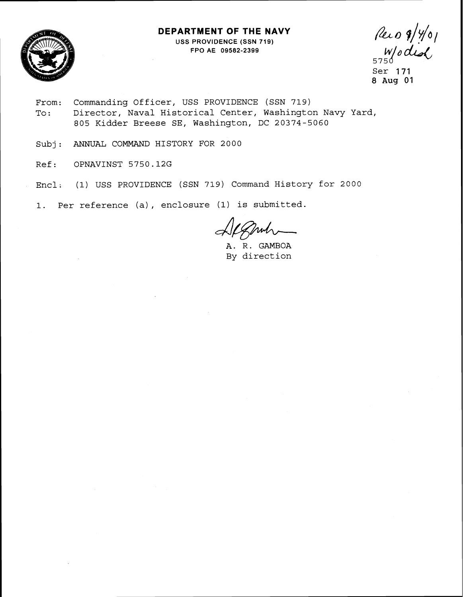## **DEPARTMENT OF THE NAVY**



USS PROVIDENCE (SSN 719) FPO AE **09582-2399** 

Per 0 9/4/01<br>5750 did

Ser 171 8 **Aug** 01

- From: Commanding Officer, USS PROVIDENCE (SSN 719) To: Director, Naval Historical Center, Washington Navy Yard, 805 Kidder Breese SE, Washington, DC 20374-5060
- Subj: ANNUAL COMMAND HISTORY FOR 2000
- Ref: OPNAVINST 5750.12G
- Encl; (1) USS PROVIDENCE (SSN 719) Command History for 2000

1. Per reference (a), enclosure (1) is submitted.

muh

A. R. GAMBOA By direction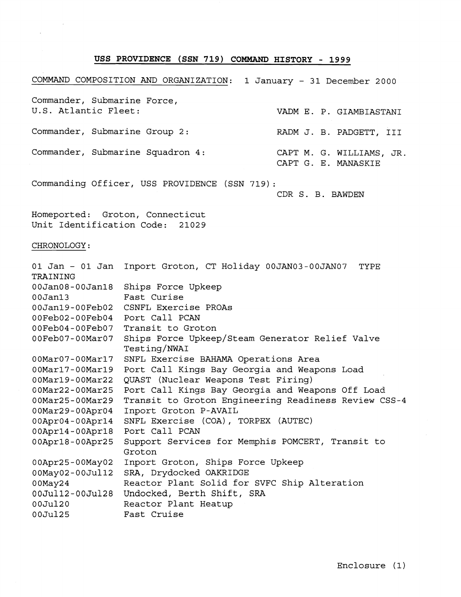## **USS PROVIDENCE (SSN 719) COMMAND HISTORY** - **1999**

COMMAND COMPOSITION AND ORGANIZATION: 1 January - 31 December 2000 Commander, Submarine Force, U.S. Atlantic Fleet: VADM E. P. GIAMBIASTANI Commander, Submarine Group 2: RADM J. B. PADGETT, III Commander, Submarine Squadron 4: CAPT M. G. WILLIAMS, JR. CAPT G. E. MANASKIE Commanding Officer, USS PROVIDENCE (SSN 719) :

CDR S. B. BAWDEN

Homeported: Groton, Connecticut Unit Identification Code: 21029

## CHRONOLOGY:

| 01 Jan – 01 Jan<br>TRAINING | Inport Groton, CT Holiday 00JAN03-00JAN07<br>TYPE    |
|-----------------------------|------------------------------------------------------|
| $00Jan08 - 00Jan18$         | Ships Force Upkeep                                   |
| 00Jan13                     | Fast Curise                                          |
| 00Jan19-00Feb02             | CSNFL Exercise PROAs                                 |
| 00Feb02-00Feb04             | Port Call PCAN                                       |
| 00Feb04-00Feb07             | Transit to Groton                                    |
| 00Feb07-00Mar07             | Ships Force Upkeep/Steam Generator Relief Valve      |
|                             | Testing/NWAI                                         |
| 00Mar07-00Mar17             | SNFL Exercise BAHAMA Operations Area                 |
| $00$ Mar $17-00$ Mar $19$   | Port Call Kings Bay Georgia and Weapons Load         |
| 00Mar19-00Mar22             | QUAST (Nuclear Weapons Test Firing)                  |
| 00Mar22-00Mar25             | Port Call Kings Bay Georgia and Weapons Off Load     |
| $00$ Mar $25-00$ Mar $29$   | Transit to Groton Engineering Readiness Review CSS-4 |
| $00$ Mar $29-00$ Apr $04$   | Inport Groton P-AVAIL                                |
| $00$ Apr $04$ -00Apr $14$   | SNFL Exercise (COA), TORPEX (AUTEC)                  |
| $00$ Apr $14$ -00Apr $18$   | Port Call PCAN                                       |
| $00$ Apr $18 - 00$ Apr $25$ | Support Services for Memphis POMCERT, Transit to     |
|                             | Groton                                               |
| 00Apr25-00May02             | Inport Groton, Ships Force Upkeep                    |
| $00$ May $02 - 00$ Jul12    | SRA, Drydocked OAKRIDGE                              |
| $00$ May $24$               | Reactor Plant Solid for SVFC Ship Alteration         |
| 00Jul12-00Jul28             | Undocked, Berth Shift, SRA                           |
| 00Jul20                     | Reactor Plant Heatup                                 |
| 00Jul25                     | Fast Cruise                                          |